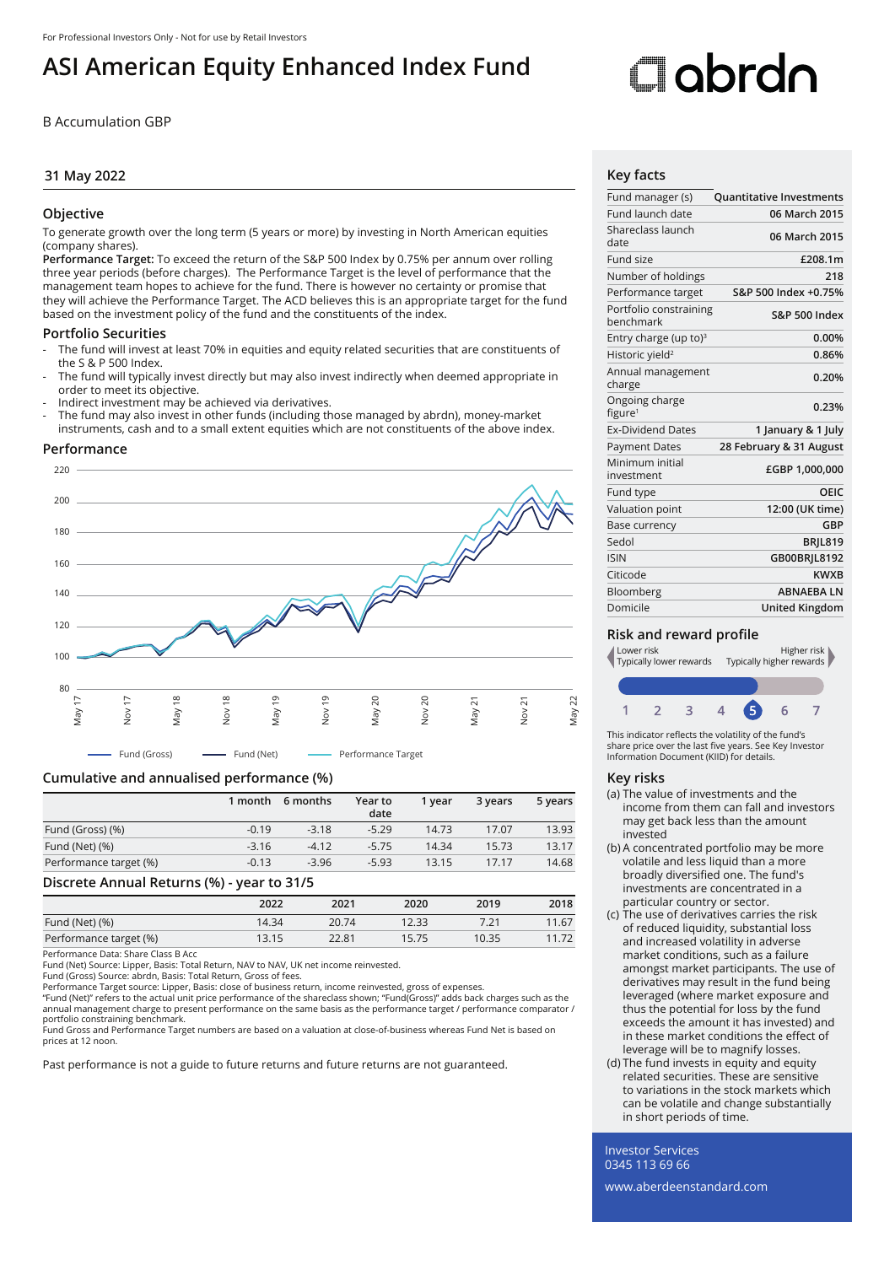# **ASI American Equity Enhanced Index Fund**

B Accumulation GBP

# **31 May 2022**

# **Objective**

To generate growth over the long term (5 years or more) by investing in North American equities (company shares).

**Performance Target:** To exceed the return of the S&P 500 Index by 0.75% per annum over rolling three year periods (before charges). The Performance Target is the level of performance that the management team hopes to achieve for the fund. There is however no certainty or promise that they will achieve the Performance Target. The ACD believes this is an appropriate target for the fund based on the investment policy of the fund and the constituents of the index.

# **Portfolio Securities**

- The fund will invest at least 70% in equities and equity related securities that are constituents of the S & P 500 Index.
- The fund will typically invest directly but may also invest indirectly when deemed appropriate in order to meet its objective.
- Indirect investment may be achieved via derivatives.
- The fund may also invest in other funds (including those managed by abrdn), money-market instruments, cash and to a small extent equities which are not constituents of the above index.

# **Performance**



# **Cumulative and annualised performance (%)**

|                        | 1 month | 6 months | Year to<br>date | 1 vear | 3 years | 5 years |
|------------------------|---------|----------|-----------------|--------|---------|---------|
| Fund (Gross) (%)       | $-0.19$ | $-3.18$  | $-5.29$         | 14.73  | 17.07   | 13.93   |
| Fund (Net) (%)         | $-3.16$ | $-4.12$  | $-5.75$         | 14.34  | 15.73   | 13.17   |
| Performance target (%) | $-0.13$ | $-3.96$  | $-5.93$         | 13.15  | 17.17   | 14.68   |

#### **Discrete Annual Returns (%) - year to 31/5**

|                                     | $\sim$ |       |       |       |       |
|-------------------------------------|--------|-------|-------|-------|-------|
|                                     | 2022   | 2021  | 2020  | 2019  | 2018  |
| Fund (Net) (%)                      | 14.34  | 20.74 | 12.33 |       | 11.67 |
| Performance target (%)              | 13.15  | 22.81 | 15.75 | 10.35 | 11.72 |
| $\sim$ $\sim$<br>___<br>$-1$<br>- - |        |       |       |       |       |

Performance Data: Share Class B Acc

Fund (Net) Source: Lipper, Basis: Total Return, NAV to NAV, UK net income reinvested.

Fund (Gross) Source: abrdn, Basis: Total Return, Gross of fees. Performance Target source: Lipper, Basis: close of business return, income reinvested, gross of expenses.

"Fund (Net)" refers to the actual unit price performance of the shareclass shown; "Fund(Gross)" adds back charges such as the<br>annual management charge to present performance on the same basis as the performance target / pe portfolio constraining benchmark.

Fund Gross and Performance Target numbers are based on a valuation at close-of-business whereas Fund Net is based on prices at 12 noon.

Past performance is not a guide to future returns and future returns are not guaranteed.

# **Cobrdo**

# **Key facts**

| Fund manager (s)                      | <b>Quantitative Investments</b> |
|---------------------------------------|---------------------------------|
| Fund launch date                      | 06 March 2015                   |
| Shareclass launch<br>date             | 06 March 2015                   |
| Fund size                             | £208.1m                         |
| Number of holdings                    | 218                             |
| Performance target                    | S&P 500 Index +0.75%            |
| Portfolio constraining<br>benchmark   | <b>S&amp;P 500 Index</b>        |
| Entry charge (up to) $3$              | 0.00%                           |
| Historic yield <sup>2</sup>           | 0.86%                           |
| Annual management<br>charge           | 0.20%                           |
| Ongoing charge<br>figure <sup>1</sup> | 0.23%                           |
| <b>Ex-Dividend Dates</b>              | 1 January & 1 July              |
| <b>Payment Dates</b>                  | 28 February & 31 August         |
| Minimum initial<br>investment         | £GBP 1,000,000                  |
| Fund type                             | OEIC                            |
| Valuation point                       | 12:00 (UK time)                 |
| Base currency                         | GBP                             |
| Sedol                                 | <b>BRIL819</b>                  |
| <b>ISIN</b>                           | GB00BRIL8192                    |
| Citicode                              | <b>KWXB</b>                     |
| Bloomberg                             | <b>ABNAEBALN</b>                |
| Domicile                              | <b>United Kingdom</b>           |

# **Risk and reward profile**



This indicator reflects the volatility of the fund's share price over the last five years. See Key Investor Information Document (KIID) for details.

# **Key risks**

- (a) The value of investments and the income from them can fall and investors may get back less than the amount invested
- (b) A concentrated portfolio may be more volatile and less liquid than a more broadly diversified one. The fund's investments are concentrated in a particular country or sector.
- (c) The use of derivatives carries the risk of reduced liquidity, substantial loss and increased volatility in adverse market conditions, such as a failure amongst market participants. The use of derivatives may result in the fund being leveraged (where market exposure and thus the potential for loss by the fund exceeds the amount it has invested) and in these market conditions the effect of leverage will be to magnify losses.
- (d) The fund invests in equity and equity related securities. These are sensitive to variations in the stock markets which can be volatile and change substantially in short periods of time.

Investor Services 0345 113 69 66

www.aberdeenstandard.com